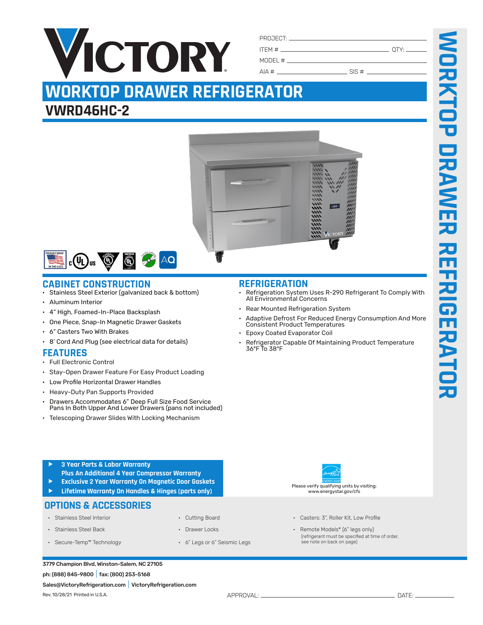| ITEM # $\sqrt{ }$ | OTY: $\rule{1em}{0.15mm}$ |
|-------------------|---------------------------|
| $MODEL \#$        |                           |

 $AIA #$  SIS #

# **WORKTOP DRAWER REFRIGERATOR**

## **VWRD46HC-2**





## **CABINET CONSTRUCTION REFRIGERATION**

- Stainless Steel Exterior (galvanized back & bottom)
- Aluminum Interior
- 4" High, Foamed-In-Place Backsplash
- One Piece, Snap-In Magnetic Drawer Gaskets
- 6" Casters Two With Brakes
- 8' Cord And Plug (see electrical data for details)

### **FEATURES**

- Full Electronic Control
- Stay-Open Drawer Feature For Easy Product Loading
- Low Profile Horizontal Drawer Handles
- Heavy-Duty Pan Supports Provided
- Drawers Accommodates 6" Deep Full Size Food Service Pans In Both Upper And Lower Drawers (pans not included)
- Telescoping Drawer Slides With Locking Mechanism

- Refrigeration System Uses R-290 Refrigerant To Comply With All Environmental Concerns
- Rear Mounted Refrigeration System
- Adaptive Defrost For Reduced Energy Consumption And More Consistent Product Temperatures
- Epoxy Coated Evaporator Coil
- Refrigerator Capable Of Maintaining Product Temperature 36ºF To 38ºF

- f **3 Year Parts & Labor Warranty Plus An Additional 4 Year Compressor Warranty**
- f **Exclusive 2 Year Warranty On Magnetic Door Gaskets**
- f **Lifetime Warranty On Handles & Hinges (parts only)**

### **OPTIONS & ACCESSORIES**

- 
- 
- 
- 
- 
- Secure-Temp™ Technology 6" Legs or 6" Seismic Legs
- Stainless Steel Interior Cutting Board Cutting Board Casters: 3", Roller Kit, Low Profile

Please verify qualifying units by visiting: www.energystar.gov/cfs

• Stainless Steel Back • Crawer Locks • Drawer Locks • Remote Models\* (6" legs only) (refrigerant must be specified at time of order, see note on back on page)

#### 3779 Champion Blvd, Winston-Salem, NC 27105 ph: (888) 845-9800|fax: (800) 253-5168

Sales@VictoryRefrigeration.com|VictoryRefrigeration.com